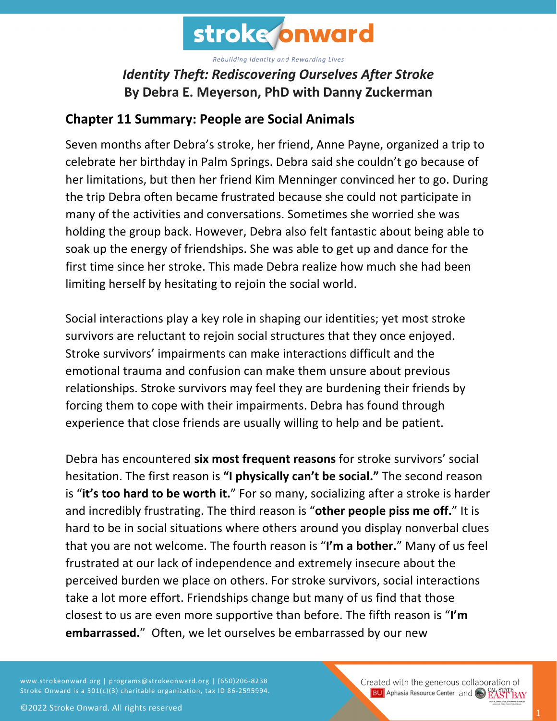

## *Identity Theft: Rediscovering Ourselves After Stroke* **By Debra E. Meyerson, PhD with Danny Zuckerman**

## **Chapter 11 Summary: People are Social Animals**

Seven months after Debra's stroke, her friend, Anne Payne, organized a trip to celebrate her birthday in Palm Springs. Debra said she couldn't go because of her limitations, but then her friend Kim Menninger convinced her to go. During the trip Debra often became frustrated because she could not participate in many of the activities and conversations. Sometimes she worried she was holding the group back. However, Debra also felt fantastic about being able to soak up the energy of friendships. She was able to get up and dance for the first time since her stroke. This made Debra realize how much she had been limiting herself by hesitating to rejoin the social world.

Social interactions play a key role in shaping our identities; yet most stroke survivors are reluctant to rejoin social structures that they once enjoyed. Stroke survivors' impairments can make interactions difficult and the emotional trauma and confusion can make them unsure about previous relationships. Stroke survivors may feel they are burdening their friends by forcing them to cope with their impairments. Debra has found through experience that close friends are usually willing to help and be patient.

Debra has encountered **six most frequent reasons** for stroke survivors' social hesitation. The first reason is **"I physically can't be social."** The second reason is "**it's too hard to be worth it.**" For so many, socializing after a stroke is harder and incredibly frustrating. The third reason is "**other people piss me off.**" It is hard to be in social situations where others around you display nonverbal clues that you are not welcome. The fourth reason is "**I'm a bother.**" Many of us feel frustrated at our lack of independence and extremely insecure about the perceived burden we place on others. For stroke survivors, social interactions take a lot more effort. Friendships change but many of us find that those closest to us are even more supportive than before. The fifth reason is "**I'm embarrassed.**" Often, we let ourselves be embarrassed by our new

www.strokeonward.org | programs@strokeonward.org | (650)206-8238 Stroke Onward is a 501(c)(3) charitable organization, tax ID 86-2595994. Created with the generous collaboration of **BU** Aphasia Resource Center and **COL STATE BAY**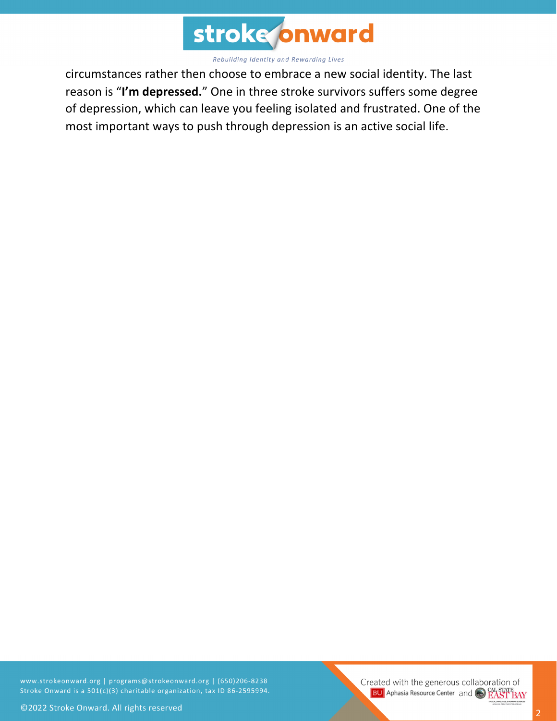

circumstances rather then choose to embrace a new social identity. The last reason is "**I'm depressed.**" One in three stroke survivors suffers some degree of depression, which can leave you feeling isolated and frustrated. One of the most important ways to push through depression is an active social life.

www.strokeonward.org | programs@strokeonward.org | (650)206-8238 Stroke Onward is a 501(c)(3) charitable organization, tax ID 86-2595994.

Created with the generous collaboration of **BU** Aphasia Resource Center and CO EAST BAY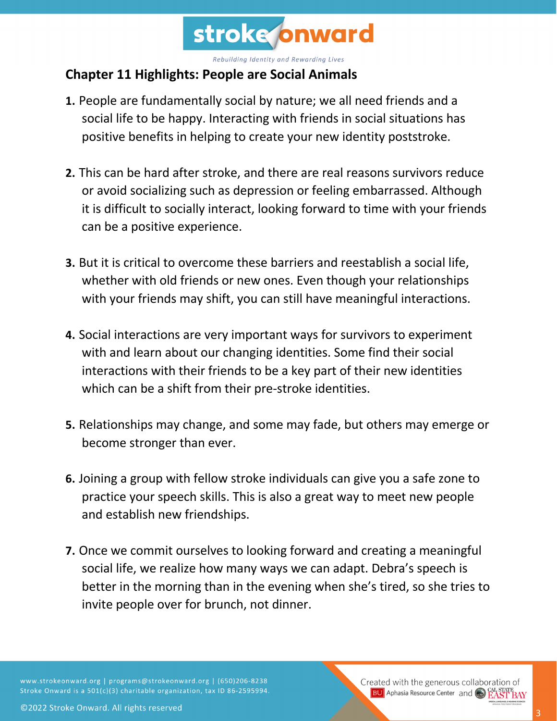

## **Chapter 11 Highlights: People are Social Animals**

- **1.** People are fundamentally social by nature; we all need friends and a social life to be happy. Interacting with friends in social situations has positive benefits in helping to create your new identity poststroke.
- **2.** This can be hard after stroke, and there are real reasons survivors reduce or avoid socializing such as depression or feeling embarrassed. Although it is difficult to socially interact, looking forward to time with your friends can be a positive experience.
- **3.** But it is critical to overcome these barriers and reestablish a social life, whether with old friends or new ones. Even though your relationships with your friends may shift, you can still have meaningful interactions.
- **4.** Social interactions are very important ways for survivors to experiment with and learn about our changing identities. Some find their social interactions with their friends to be a key part of their new identities which can be a shift from their pre-stroke identities.
- **5.** Relationships may change, and some may fade, but others may emerge or become stronger than ever.
- **6.** Joining a group with fellow stroke individuals can give you a safe zone to practice your speech skills. This is also a great way to meet new people and establish new friendships.
- **7.** Once we commit ourselves to looking forward and creating a meaningful social life, we realize how many ways we can adapt. Debra's speech is better in the morning than in the evening when she's tired, so she tries to invite people over for brunch, not dinner.

www.strokeonward.org | programs@strokeonward.org | (650)206-8238 Stroke Onward is a 501(c)(3) charitable organization, tax ID 86-2595994. Created with the generous collaboration of **BU** Aphasia Resource Center and **CAL STATE**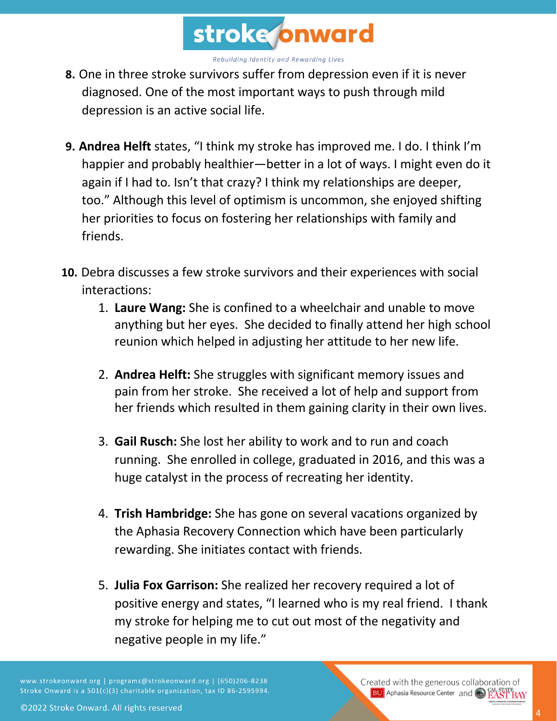

- **8.** One in three stroke survivors suffer from depression even if it is never diagnosed. One of the most important ways to push through mild depression is an active social life.
- **9. Andrea Helft** states, "I think my stroke has improved me. I do. I think I'm happier and probably healthier—better in a lot of ways. I might even do it again if I had to. Isn't that crazy? I think my relationships are deeper, too." Although this level of optimism is uncommon, she enjoyed shifting her priorities to focus on fostering her relationships with family and friends.
- **10.** Debra discusses a few stroke survivors and their experiences with social interactions:
	- 1. **Laure Wang:** She is confined to a wheelchair and unable to move anything but her eyes. She decided to finally attend her high school reunion which helped in adjusting her attitude to her new life.
	- 2. **Andrea Helft:** She struggles with significant memory issues and pain from her stroke. She received a lot of help and support from her friends which resulted in them gaining clarity in their own lives.
	- 3. **Gail Rusch:** She lost her ability to work and to run and coach running. She enrolled in college, graduated in 2016, and this was a huge catalyst in the process of recreating her identity.
	- 4. **Trish Hambridge:** She has gone on several vacations organized by the Aphasia Recovery Connection which have been particularly rewarding. She initiates contact with friends.
	- 5. **Julia Fox Garrison:** She realized her recovery required a lot of positive energy and states, "I learned who is my real friend. I thank my stroke for helping me to cut out most of the negativity and negative people in my life."

www.strokeonward.org | programs@strokeonward.org | (650)206-8238 Stroke Onward is a 501(c)(3) charitable organization, tax ID 86-2595994.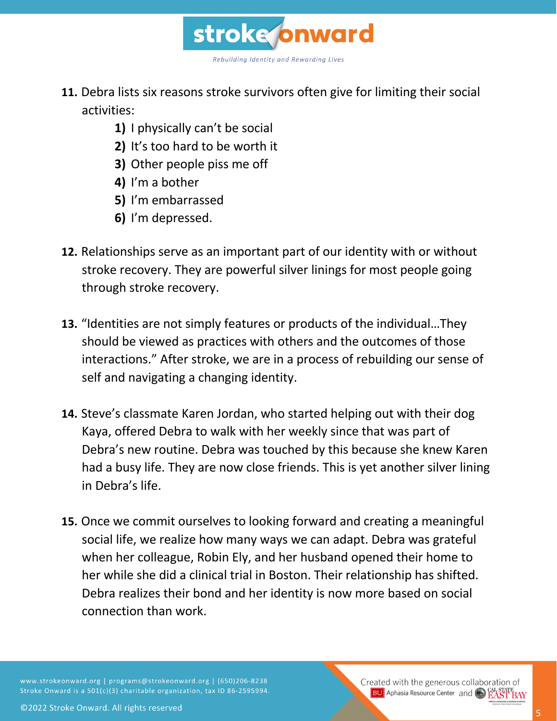

- **11.** Debra lists six reasons stroke survivors often give for limiting their social activities:
	- **1)** I physically can't be social
	- **2)** It's too hard to be worth it
	- **3)** Other people piss me off
	- **4)** I'm a bother
	- **5)** I'm embarrassed
	- **6)** I'm depressed.
- **12.** Relationships serve as an important part of our identity with or without stroke recovery. They are powerful silver linings for most people going through stroke recovery.
- **13.** "Identities are not simply features or products of the individual…They should be viewed as practices with others and the outcomes of those interactions." After stroke, we are in a process of rebuilding our sense of self and navigating a changing identity.
- **14.** Steve's classmate Karen Jordan, who started helping out with their dog Kaya, offered Debra to walk with her weekly since that was part of Debra's new routine. Debra was touched by this because she knew Karen had a busy life. They are now close friends. This is yet another silver lining in Debra's life.
- **15.** Once we commit ourselves to looking forward and creating a meaningful social life, we realize how many ways we can adapt. Debra was grateful when her colleague, Robin Ely, and her husband opened their home to her while she did a clinical trial in Boston. Their relationship has shifted. Debra realizes their bond and her identity is now more based on social connection than work.

www.strokeonward.org | programs@strokeonward.org | (650)206-8238 Stroke Onward is a 501(c)(3) charitable organization, tax ID 86-2595994.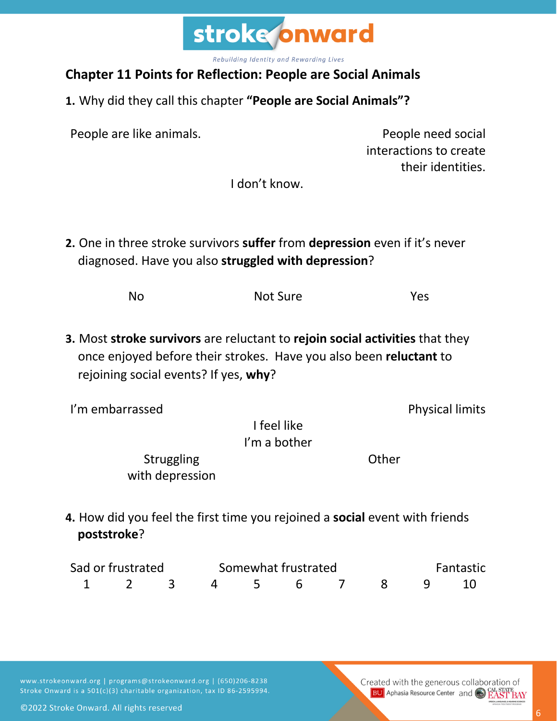

## **Chapter 11 Points for Reflection: People are Social Animals**

**1.** Why did they call this chapter **"People are Social Animals"?**

People are like animals. People need social

interactions to create their identities.

I don't know.

**2.** One in three stroke survivors **suffer** from **depression** even if it's never diagnosed. Have you also **struggled with depression**?

| <b>No</b> | Not Sure | Yes |
|-----------|----------|-----|
|           |          |     |

**3.** Most **stroke survivors** are reluctant to **rejoin social activities** that they once enjoyed before their strokes. Have you also been **reluctant** to rejoining social events? If yes, **why**?

I'm embarrassed expressed and the physical limits

I feel like I'm a bother

Struggling with depression **Other** 

**4.** How did you feel the first time you rejoined a **social** event with friends **poststroke**?

| Sad or frustrated |  |  | Somewhat frustrated  |  |  |  |  | Fantastic |  |  |
|-------------------|--|--|----------------------|--|--|--|--|-----------|--|--|
|                   |  |  | 1 2 3 4 5 6 7 8 9 10 |  |  |  |  |           |  |  |

www.strokeonward.org | programs@strokeonward.org | (650)206-8238 Stroke Onward is a 501(c)(3) charitable organization, tax ID 86-2595994.